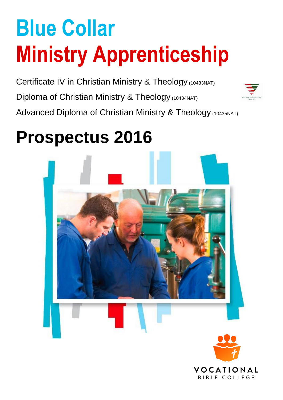# **Blue Collar Ministry Apprenticeship**

Certificate IV in Christian Ministry & Theology (10433NAT) Diploma of Christian Ministry & Theology (10434NAT) Advanced Diploma of Christian Ministry & Theology (10435NAT)



# **Prospectus 2016**



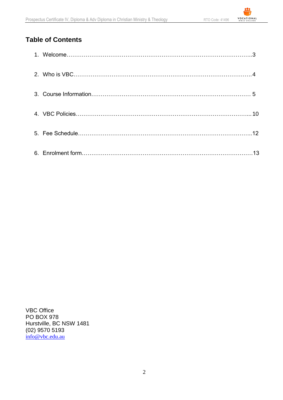<u>.e.</u>

## **Table of Contents**

VBC Office PO BOX 978 Hurstville, BC NSW 1481 (02) 9570 5193 [info@vbc.edu.au](mailto:vocationalbiblecollege@gmail.com)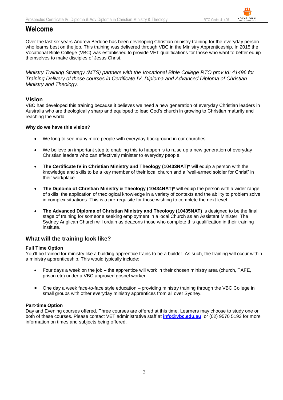## **Welcome**

Over the last six years Andrew Beddoe has been developing Christian ministry training for the everyday person who learns best on the job. This training was delivered through VBC in the Ministry Apprenticeship. In 2015 the Vocational Bible College (VBC) was established to provide VET qualifications for those who want to better equip themselves to make disciples of Jesus Christ.

*Ministry Training Strategy (MTS) partners with the Vocational Bible College RTO prov Id: 41496 for Training Delivery of these courses in Certificate IV, Diploma and Advanced Diploma of Christian Ministry and Theology.*

#### **Vision**

VBC has developed this training because it believes we need a new generation of everyday Christian leaders in Australia who are theologically sharp and equipped to lead God's church in growing to Christian maturity and reaching the world.

#### **Why do we have this vision?**

- We long to see many more people with everyday background in our churches.
- We believe an important step to enabling this to happen is to raise up a new generation of everyday Christian leaders who can effectively minister to everyday people.
- **The Certificate IV in Christian Ministry and Theology (10433NAT)\*** will equip a person with the knowledge and skills to be a key member of their local church and a "well-armed soldier for Christ" in their workplace.
- **The Diploma of Christian Ministry & Theology (10434NAT)\*** will equip the person with a wider range of skills, the application of theological knowledge in a variety of contexts and the ability to problem solve in complex situations. This is a pre-requisite for those wishing to complete the next level.
- **The Advanced Diploma of Christian Ministry and Theology (10435NAT)** is designed to be the final stage of training for someone seeking employment in a local Church as an Assistant Minister. The Sydney Anglican Church will ordain as deacons those who complete this qualification in their training institute.

#### **What will the training look like?**

#### **Full Time Option**

You'll be trained for ministry like a building apprentice trains to be a builder. As such, the training will occur within a ministry apprenticeship. This would typically include:

- Four days a week on the job the apprentice will work in their chosen ministry area (church, TAFE, prison etc) under a VBC approved gospel worker.
- One day a week face-to-face style education providing ministry training through the VBC College in small groups with other everyday ministry apprentices from all over Sydney.

#### **Part-time Option**

Day and Evening courses offered. Three courses are offered at this time. Learners may choose to study one or both of these courses. Please contact VET administrative staff at **[info@vbc.edu.au](mailto:info@vbc.edu.au)** or (02) 9570 5193 for more information on times and subjects being offered.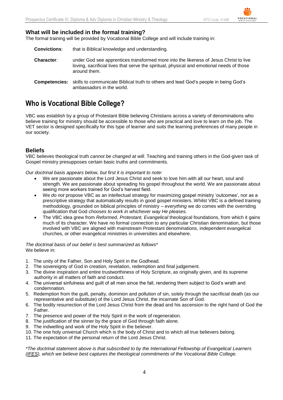#### **What will be included in the formal training?**

The formal training will be provided by Vocational Bible College and will include training in:

- **Convictions**: that is Biblical knowledge and understanding.
- **Character**: under God see apprentices transformed more into the likeness of Jesus Christ to live loving, sacrificial lives that serve the spiritual, physical and emotional needs of those around them.
- **Competencies:** skills to communicate Biblical truth to others and lead God's people in being God's ambassadors in the world.

## **Who is Vocational Bible College?**

VBC was establish by a group of Protestant Bible believing Christians across a variety of denominations who believe training for ministry should be accessible to those who are practical and love to learn on the job. The VET sector is designed specifically for this type of learner and suits the learning preferences of many people in our society.

#### **Beliefs**

VBC believes theological truth *cannot be changed at will.* Teaching and training others in the God-given task of Gospel ministry presupposes certain basic truths and commitments.

*Our doctrinal basis appears below, but first it is important to note:*

- We are passionate about the Lord Jesus Christ and seek to love him with all our heart, soul and strength. We are passionate about spreading his gospel throughout the world. We are passionate about seeing more workers trained for God's harvest field.
- We *do not* propose VBC as an intellectual strategy for maximizing gospel ministry 'outcomes', nor as a prescriptive strategy that automatically results in good gospel ministers. Whilst VBC is a defined training methodology, grounded on biblical principles of ministry – *everything* we do comes with the overriding qualification that God *chooses to work in whichever way He pleases.*
- The VBC idea grew from *Reformed, Protestant, Evangelical* theological foundations, from which it gains much of its character. We have no formal connection to any particular Christian denomination, but those involved with VBC are aligned with mainstream Protestant denominations, independent evangelical churches, or other evangelical ministries in universities and elsewhere.

*The doctrinal basis of our belief is best summarized as follows*\* We believe in:

- 1. The unity of the Father, Son and Holy Spirit in the Godhead.
- 2. The sovereignty of God in creation, revelation, redemption and final judgement.
- 3. The divine inspiration and entire trustworthiness of Holy Scripture, as originally given, and its supreme authority in all matters of faith and conduct.
- 4. The universal sinfulness and guilt of all men since the fall, rendering them subject to God's wrath and condemnation.
- 5. Redemption from the guilt, penalty, dominion and pollution of sin, solely through the sacrificial death (as our representative and substitute) of the Lord Jesus Christ, the incarnate Son of God.
- 6. The bodily resurrection of the Lord Jesus Christ from the dead and his ascension to the right hand of God the **Father**
- 7. The presence and power of the Holy Spirit in the work of regeneration.
- 8. The justification of the sinner by the grace of God through faith alone.
- 9. The indwelling and work of the Holy Spirit in the believer.
- 10. The one holy universal Church which is the body of Christ and to which all true believers belong.
- 11. The expectation of the personal return of the Lord Jesus Christ.

*\*The doctrinal statement above is that subscribed to by the International Fellowship of Evangelical Learners [\(IFES\)](http://www.ifesworld.org/), which we believe best captures the theological commitments of the Vocational Bible College.*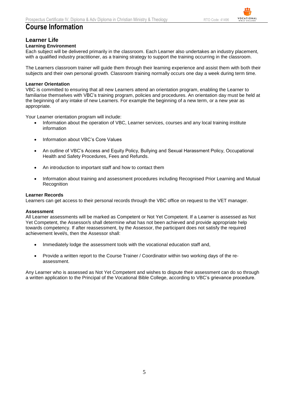## **Course Information**

#### **Learner Life**

#### **Learning Environment**

Each subject will be delivered primarily in the classroom. Each Learner also undertakes an industry placement, with a qualified industry practitioner, as a training strategy to support the training occurring in the classroom.

The Learners classroom trainer will guide them through their learning experience and assist them with both their subjects and their own personal growth. Classroom training normally occurs one day a week during term time.

#### **Learner Orientation**

VBC is committed to ensuring that all new Learners attend an orientation program, enabling the Learner to familiarise themselves with VBC's training program, policies and procedures. An orientation day must be held at the beginning of any intake of new Learners. For example the beginning of a new term, or a new year as appropriate.

Your Learner orientation program will include:

- Information about the operation of VBC, Learner services, courses and any local training institute information
- Information about VBC's Core Values
- An outline of VBC's Access and Equity Policy, Bullying and Sexual Harassment Policy, Occupational Health and Safety Procedures, Fees and Refunds.
- An introduction to important staff and how to contact them
- Information about training and assessment procedures including Recognised Prior Learning and Mutual Recognition

#### **Learner Records**

Learners can get access to their personal records through the VBC office on request to the VET manager.

#### **Assessment**

All Learner assessments will be marked as Competent or Not Yet Competent. If a Learner is assessed as Not Yet Competent, the Assessor/s shall determine what has not been achieved and provide appropriate help towards competency. If after reassessment, by the Assessor, the participant does not satisfy the required achievement level/s, then the Assessor shall:

- Immediately lodge the assessment tools with the vocational education staff and,
- Provide a written report to the Course Trainer / Coordinator within two working days of the reassessment.

Any Learner who is assessed as Not Yet Competent and wishes to dispute their assessment can do so through a written application to the Principal of the Vocational Bible College, according to VBC's grievance procedure.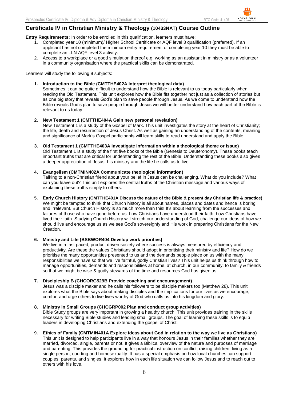## **Certificate IV in Christian Ministry & Theology (10433NAT) Course Outline**

**Entry Requirements:** In order to be enrolled in this qualification, learners must have:

- 1. Completed year 10 (minimum)/ Higher School Certificate or AQF level 3 qualification (preferred). If an applicant has not completed the minimum entry requirement of completing year 10 they must be able to complete an LLN AQF level 3 activity.
- 2. Access to a workplace or a good simulation thereof e.g. working as an assistant in ministry or as a volunteer in a community organisation where the practical skills can be demonstrated.

Learners will study the following 9 subjects:

**1. Introduction to the Bible (CMTTHE402A Interpret theological data)**

Sometimes it can be quite difficult to understand how the Bible is relevant to us today particularly when reading the Old Testament. This unit explores how the Bible fits together not just as a collection of stories but as one big story that reveals God's plan to save people through Jesus. As we come to understand how the Bible reveals God's plan to save people through Jesus we will better understand how each part of the Bible is relevant to us today.

#### **2. New Testament 1 (CMTTHE404A Gain new personal revelation)**

New Testament 1 is a study of the Gospel of Mark. This unit investigates the story at the heart of Christianity; the life, death and resurrection of Jesus Christ. As well as gaining an understanding of the contents, meaning and significance of Mark's Gospel participants will learn skills to read understand and apply the Bible.

#### **3. Old Testament 1 (CMTTHE403A Investigate information within a theological theme or issue)**

Old Testament 1 is a study of the first five books of the Bible (Genesis to Deuteronomy). These books teach important truths that are critical for understanding the rest of the Bible. Understanding these books also gives a deeper appreciation of Jesus, his ministry and the life he calls us to live.

#### **4. Evangelism (CMTMIN402A Communicate theological information)**

Talking to a non-Christian friend about your belief in Jesus can be challenging. What do you include? What can you leave out? This unit explores the central truths of the Christian message and various ways of explaining these truths simply to others.

#### **5. Early Church History (CMTTHE401A Discuss the nature of the Bible & present day Christian life & practice)**

We might be tempted to think that Church history is all about names, places and dates and hence is boring and irrelevant. But Church History is so much more than this! It's about learning from the successes and failures of those who have gone before us: how Christians have understood their faith, how Christians have lived their faith. Studying Church History will stretch our understanding of God, challenge our ideas of how we should live and encourage us as we see God's sovereignty and His work in preparing Christians for the New Creation.

#### **6. Ministry and Life (BSBWOR404 Develop work priorities)**

We live in a fast paced, product driven society where success is always measured by efficiency and productivity. Are these the values Christians should adopt in prioritising their ministry and life? How do we prioritise the many opportunities presented to us and the demands people place on us with the many responsibilities we have so that we live faithful, godly Christian lives? This unit helps us think through how to manage opportunities, demands and responsibilities at home, at church, in our community; to family & friends so that we might be wise & godly stewards of the time and resources God has given us.

#### **7. Discipleship B (CHCORG529B Provide coaching and encouragement)**

Jesus was a disciple maker and he calls his followers to be disciple makers too (Matthew 28). This unit explores what the Bible says about making disciples and the implications for our lives as we encourage, comfort and urge others to live lives worthy of God who calls us into his kingdom and glory.

#### **8. Ministry in Small Groups (CHCGRP002 Plan and conduct group activities)**

Bible Study groups are very important in growing a healthy church. This unit provides training in the skills necessary for writing Bible studies and leading small groups. The goal of learning these skills is to equip leaders in developing Christians and extending the gospel of Christ.

#### **9. Ethics of Family (CMTMIN401A Explore ideas about God in relation to the way we live as Christians)**

This unit is designed to help participants live in a way that honours Jesus in their families whether they are married, divorced, single, parents or not. It gives a Biblical overview of the nature and purposes of marriage and parenting. This provides the grounding for practical instruction on conflict, raising children, living as a single person, courting and homosexuality. It has a special emphasis on how local churches can support couples, parents, and singles. It explores how in each life situation we can follow Jesus and to reach out to others with his love.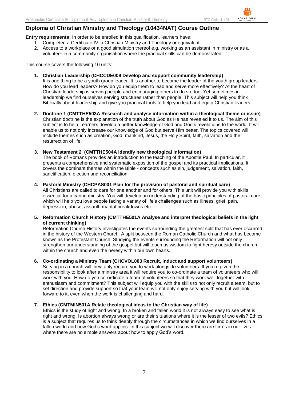**Entry requirements:** In order to be enrolled in this qualification, learners have:

- 1. Completed a Certificate IV in Christian Ministry and Theology or equivalent,
- 2. Access to a workplace or a good simulation thereof e.g. working as an assistant in ministry or as a volunteer in a community organisation where the practical skills can be demonstrated.

This course covers the following 10 units:

- **1. Christian Leadership (CHCCDE009 Develop and support community leadership)** It is one thing to be a youth group leader. It is another to become the leader of the youth group leaders. How do you lead leaders? How do you equip them to lead and serve more effectively? At the heart of Christian leadership is serving people and encouraging others to do so, too. Yet sometimes in leadership we find ourselves serving structures rather than people. This subject will help you think Biblically about leadership and give you practical tools to help you lead and equip Christian leaders.
- **2. Doctrine 1 (CMTTHE503A Research and analyse information within a theological theme or issue)** Christian doctrine is the explanation of the truth about God as He has revealed it to us. The aim of this subject is to help Learners develop a better knowledge of God and God's revelations to the world. It will enable us to not only increase our knowledge of God but serve Him better. The topics covered will include themes such as creation, God, mankind, Jesus, the Holy Spirit, faith, salvation and the resurrection of life.

#### **3. New Testament 2 (CMTTHE504A Identify new theological information)**

The book of Romans provides an introduction to the teaching of the Apostle Paul. In particular, it presents a comprehensive and systematic exposition of the gospel and its practical implications. It covers the dominant themes within the Bible - concepts such as sin, judgement, salvation, faith, sanctification, election and reconciliation.

#### **4. Pastoral Ministry (CHCPAS001 Plan for the provision of pastoral and spiritual care)**

All Christians are called to care for one another and for others. This unit will provide you with skills essential for a caring ministry. You will develop an understanding of the basic principles of pastoral care, which will help you love people facing a variety of life's challenges such as illness, grief, pain, depression, abuse, assault, marital breakdowns etc.

**5. Reformation Church History (CMTTHE501A Analyse and interpret theological beliefs in the light of current thinking)**

Reformation Church History investigates the events surrounding the greatest split that has ever occurred in the history of the Western Church. A split between the Roman Catholic Church and what has become known as the Protestant Church. Studying the events surrounding the Reformation will not only strengthen our understanding of the gospel but will teach us wisdom to fight heresy outside the church, within the church and even the heresy within our own hearts.

#### **6. Co-ordinating a Ministry Team (CHCVOL003 Recruit, induct and support volunteers)**

Serving in a church will inevitably require you to work alongside volunteers. If you're given the responsibility to look after a ministry area it will require you to co-ordinate a team of volunteers who will work with you. How do you co-ordinate a team of volunteers so that they work well together with enthusiasm and commitment? This subject will equip you with the skills to not only recruit a team, but to set direction and provide support so that your team will not only enjoy serving with you but will look forward to it, even when the work is challenging and hard.

#### **7. Ethics (CMTMIN501A Relate theological ideas to the Christian way of life)**

Ethics is the study of right and wrong. In a broken and fallen world it is not always easy to see what is right and wrong. Is abortion always wrong or are their situations where it is the lesser of two evils? Ethics is a subject that requires us to think deeply through the circumstances in which we find ourselves in a fallen world and how God's word applies. In this subject we will discover there are times in our lives where there are no simple answers about how to apply God's word.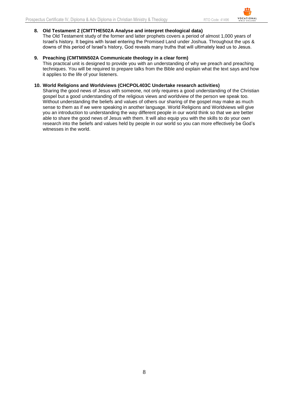**8. Old Testament 2 (CMTTHE502A Analyse and interpret theological data)** The Old Testament study of the former and latter prophets covers a period of almost 1,000 years of Israel's history. It begins with Israel entering the Promised Land under Joshua. Throughout the ups & downs of this period of Israel's history, God reveals many truths that will ultimately lead us to Jesus.

#### **9. Preaching (CMTMIN502A Communicate theology in a clear form)**

This practical unit is designed to provide you with an understanding of why we preach and preaching techniques. You will be required to prepare talks from the Bible and explain what the text says and how it applies to the life of your listeners.

#### **10. World Religions and Worldviews (CHCPOL403C Undertake research activities)**

Sharing the good news of Jesus with someone, not only requires a good understanding of the Christian gospel but a good understanding of the religious views and worldview of the person we speak too. Without understanding the beliefs and values of others our sharing of the gospel may make as much sense to them as if we were speaking in another language. World Religions and Worldviews will give you an introduction to understanding the way different people in our world think so that we are better able to share the good news of Jesus with them. It will also equip you with the skills to do your own research into the beliefs and values held by people in our world so you can more effectively be God's witnesses in the world.

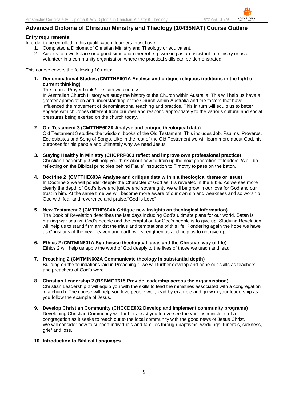### **Advanced Diploma of Christian Ministry and Theology (10435NAT) Course Outline**

#### **Entry requirements:**

In order to be enrolled in this qualification, learners must have:

- 1. Completed a Diploma of Christian Ministry and Theology or equivalent,
- 2. Access to a workplace or a good simulation thereof e.g. working as an assistant in ministry or as a volunteer in a community organisation where the practical skills can be demonstrated.

This course covers the following 10 units:

**1. Denominational Studies (CMTTHE601A Analyse and critique religious traditions in the light of current thinking)**

The tutorial Prayer book / the faith we confess.

In Australian Church History we study the history of the Church within Australia. This will help us have a greater appreciation and understanding of the Church within Australia and the factors that have influenced the movement of denominational teaching and practice. This in turn will equip us to better engage with churches different from our own and respond appropriately to the various cultural and social pressures being exerted on the church today.

#### **2. Old Testament 3 (CMTTHE602A Analyse and critique theological data)**

Old Testament 3 studies the 'wisdom' books of the Old Testament. This includes Job, Psalms, Proverbs, Ecclesiastes and Song of Songs. Like in the rest of the Old Testament we will learn more about God, his purposes for his people and ultimately why we need Jesus.

- **3. Staying Healthy in Ministry (CHCPRP003 reflect and improve own professional practice)** Christian Leadership 3 will help you think about how to train up the next generation of leaders. We'll be reflecting on the Biblical principles behind Pauls' instruction to Timothy to pass on the baton.
- **4. Doctrine 2 (CMTTHE603A Analyse and critique data within a theological theme or issue)** In Doctrine 2 we will ponder deeply the Character of God as it is revealed in the Bible. As we see more clearly the depth of God's love and justice and sovereignty we will be grow in our love for God and our trust in him. At the same time we will become more aware of our own sin and weakness and so worship God with fear and reverence and praise."God is Love"

**5. New Testament 3 (CMTTHE604A Critique new insights on theological information)** The Book of Revelation describes the last days including God's ultimate plans for our world. Satan is making war against God's people and the temptation for God's people is to give up. Studying Revelation will help us to stand firm amidst the trials and temptations of this life. Pondering again the hope we have as Christians of the new heaven and earth will strengthen us and help us to not give up.

- **6. Ethics 2 (CMTMIN601A Synthesise theological ideas and the Christian way of life)** Ethics 2 will help us apply the word of God deeply to the lives of those we teach and lead.
- **7. Preaching 2 (CMTMIN602A Communicate theology in substantial depth)** Building on the foundations laid in Preaching 1 we will further develop and hone our skills as teachers and preachers of God's word.
- **8. Christian Leadership 2 (BSBMGT615 Provide leadership across the orgaanisation)** Christian Leadership 2 will equip you with the skills to lead the ministries associated with a congregation in a church. The course will help you love people well, lead by example and grow in your leadership as you follow the example of Jesus.
- **9. Develop Christian Community (CHCCDE002 Develop and implement community programs)** Developing Christian Community will further assist you to oversee the various ministries of a congregation as it seeks to reach out to the local community with the good news of Jesus Christ. We will consider how to support individuals and families through baptisms, weddings, funerals, sickness, grief and loss.

#### **10. Introduction to Biblical Languages**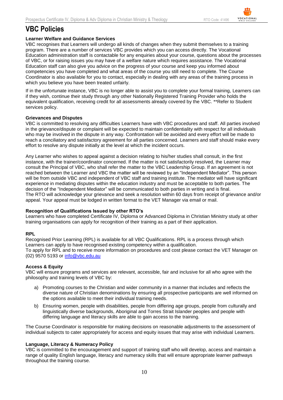## **VBC Policies**

#### **Learner Welfare and Guidance Services**

VBC recognises that Learners will undergo all kinds of changes when they submit themselves to a training program. There are a number of services VBC provides which you can access directly. The Vocational Education administration staff is contactable for any enquiries about your course, questions about the processes of VBC, or for raising issues you may have of a welfare nature which requires assistance. The Vocational Education staff can also give you advice on the progress of your course and keep you informed about competencies you have completed and what areas of the course you still need to complete. The Course Coordinator is also available for you to contact, especially in dealing with any areas of the training process in which you believe you have been treated unfairly.

If in the unfortunate instance, VBC is no longer able to assist you to complete your formal training, Learners can if they wish, continue their study through any other Nationally Registered Training Provider who holds the equivalent qualification, receiving credit for all assessments already covered by the VBC. \*\*Refer to Student services policy.

#### **Grievances and Disputes**

VBC is committed to resolving any difficulties Learners have with VBC procedures and staff. All parties involved in the grievance/dispute or complaint will be expected to maintain confidentiality with respect for all individuals who may be involved in the dispute in any way. Confrontation will be avoided and every effort will be made to reach a conciliatory and satisfactory agreement for all parties concerned. Learners and staff should make every effort to resolve any dispute initially at the level at which the incident occurs.

Any Learner who wishes to appeal against a decision relating to his/her studies shall consult, in the first instance, with the trainer/coordinator concerned. If the matter is not satisfactorily resolved, the Learner may consult the Principal of VBC, who shall refer the matter to the VBC Leadership Group. If an agreement is not reached between the Learner and VBC the matter will be reviewed by an "Independent Mediator". This person will be from outside VBC and independent of VBC staff and training institute. The mediator will have significant experience in mediating disputes within the education industry and must be acceptable to both parties. The decision of the "Independent Mediator" will be communicated to both parties in writing and is final. The RTO will acknowledge your grievance and seek a resolution within 60 days from receipt of grievance and/or appeal. Your appeal must be lodged in written format to the VET Manager via email or mail.

#### **Recognition of Qualifications Issued by other RTO's**

Learners who have completed Certificate IV, Diploma or Advanced Diploma in Christian Ministry study at other training organisations can apply for recognition of their training as a part of their application.

#### **RPL**

Recognised Prior Learning (RPL) is available for all VBC Qualifications. RPL is a process through which Learners can apply to have recognised existing competency within a qualification. To apply for RPL and to receive more information on procedures and cost please contact the VET Manager on (02) 9570 5193 or [info@vbc.edu.au](mailto:info@vbc.edu.au)

#### **Access & Equity**

VBC will ensure programs and services are relevant, accessible, fair and inclusive for all who agree with the philosophy and training levels of VBC by:

- a) Promoting courses to the Christian and wider community in a manner that includes and reflects the diverse nature of Christian denominations by ensuring all prospective participants are well informed on the options available to meet their individual training needs.
- b) Ensuring women, people with disabilities, people from differing age groups, people from culturally and linguistically diverse backgrounds, Aboriginal and Torres Strait Islander peoples and people with differing language and literacy skills are able to gain access to the training.

The Course Coordinator is responsible for making decisions on reasonable adjustments to the assessment of individual subjects to cater appropriately for access and equity issues that may arise with individual Learners.

#### **Language, Literacy & Numeracy Policy**

VBC is committed to the encouragement and support of training staff who will develop, access and maintain a range of quality English language, literacy and numeracy skills that will ensure appropriate learner pathways throughout the training course.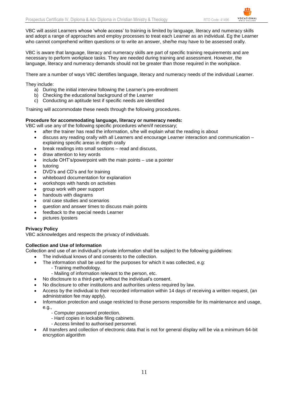VBC will assist Learners whose 'whole access' to training is limited by language, literacy and numeracy skills and adopt a range of approaches and employ processes to treat each Learner as an individual. Eg the Learner who cannot comprehend written questions or to write an answer, she/he may have to be assessed orally.

VBC is aware that language, literacy and numeracy skills are part of specific training requirements and are necessary to perform workplace tasks. They are needed during training and assessment. However, the language, literacy and numeracy demands should not be greater than those required in the workplace.

There are a number of ways VBC identifies language, literacy and numeracy needs of the individual Learner.

They include:

- a) During the initial interview following the Learner's pre-enrollment
- b) Checking the educational background of the Learner
- c) Conducting an aptitude test if specific needs are identified

Training will accommodate these needs through the following procedures.

#### **Procedure for accommodating language, literacy or numeracy needs:**

VBC will use any of the following specific procedures when/if necessary;

- after the trainer has read the information, s/he will explain what the reading is about
- discuss any reading orally with all Learners and encourage Learner interaction and communication explaining specific areas in depth orally
- break readings into small sections read and discuss,
- draw attention to key words
- include OHT's/powerpoint with the main points use a pointer
- tutoring
- DVD's and CD's and for training
- whiteboard documentation for explanation
- workshops with hands on activities
- group work with peer support
- handouts with diagrams
- oral case studies and scenarios
- question and answer times to discuss main points
- feedback to the special needs Learner
- pictures /posters

#### **Privacy Policy**

VBC acknowledges and respects the privacy of individuals.

#### **Collection and Use of Information**

Collection and use of an individual's private information shall be subject to the following guidelines:

- The individual knows of and consents to the collection.
- The information shall be used for the purposes for which it was collected, e.g:
	- Training methodology.
	- Mailing of information relevant to the person, etc.
	- No disclosure to a third-party without the individual's consent.
- No disclosure to other institutions and authorities unless required by law.
- Access by the individual to their recorded information within 14 days of receiving a written request, (an administration fee may apply).
- Information protection and usage restricted to those persons responsible for its maintenance and usage, e.g.,
	- Computer password protection.
	- Hard copies in lockable filing cabinets.
	- Access limited to authorised personnel.
- All transfers and collection of electronic data that is not for general display will be via a minimum 64-bit encryption algorithm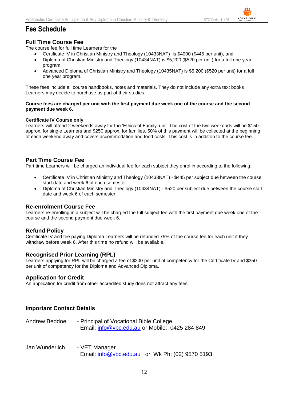## **Fee Schedule**

#### **Full Time Course Fee**

The course fee for full time Learners for the

- Certificate IV in Christian Ministry and Theology (10433NAT) is \$4000 (\$445 per unit), and
- Diploma of Christian Ministry and Theology (10434NAT) is \$5,200 (\$520 per unit) for a full one year program.
- Advanced Diploma of Christian Ministry and Theology (10435NAT) is \$5,200 (\$520 per unit) for a full one year program.

These fees include all course handbooks, notes and materials. They do not include any extra text books Learners may decide to purchase as part of their studies.

#### **Course fees are charged per unit with the first payment due week one of the course and the second payment due week 6.**

#### **Certificate IV Course only**

Learners will attend 2 weekends away for the 'Ethics of Family' unit. The cost of the two weekends will be \$150 approx. for single Learners and \$250 approx. for families. 50% of this payment will be collected at the beginning of each weekend away and covers accommodation and food costs. This cost is in addition to the course fee.

#### **Part Time Course Fee**

Part time Learners will be charged an individual fee for each subject they enrol in according to the following:

- Certificate IV in Christian Ministry and Theology (10433NAT) \$445 per subject due between the course start date and week 6 of each semester
- Diploma of Christian Ministry and Theology (10434NAT) \$520 per subject due between the course start date and week 6 of each semester

#### **Re-enrolment Course Fee**

Learners re-enrolling in a subject will be charged the full subject fee with the first payment due week one of the course and the second payment due week 6.

#### **Refund Policy**

Certificate IV and fee paying Diploma Learners will be refunded 75% of the course fee for each unit if they withdraw before week 6. After this time no refund will be available.

#### **Recognised Prior Learning (RPL)**

Learners applying for RPL will be charged a fee of \$200 per unit of competency for the Certificate IV and \$350 per unit of competency for the Diploma and Advanced Diploma.

#### **Application for Credit**

An application for credit from other accredited study does not attract any fees.

#### **Important Contact Details**

| Andrew Beddoe | - Principal of Vocational Bible College        |  |
|---------------|------------------------------------------------|--|
|               | Email: info@vbc.edu.au or Mobile: 0425 284 849 |  |

Jan Wunderlich - VET Manager Email: [info@vbc.edu.au](mailto:info@vbc.edu.au) or Wk Ph: (02) 9570 5193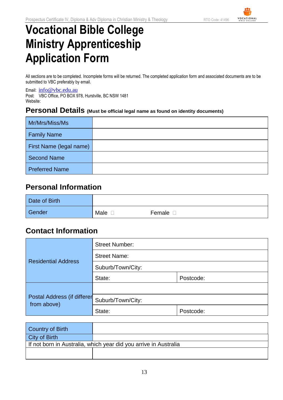# **Vocational Bible College Ministry Apprenticeship Application Form**

All sections are to be completed. Incomplete forms will be returned. The completed application form and associated documents are to be submitted to VBC preferably by email.

Email: [info@vbc.edu.au](mailto:info@vbc.edu.au) Post: VBC Office, PO BOX 978, Hurstville, BC NSW 1481 Website:

## **Personal Details (Must be official legal name as found on identity documents)**

| Mr/Mrs/Miss/Ms          |  |
|-------------------------|--|
| <b>Family Name</b>      |  |
| First Name (legal name) |  |
| <b>Second Name</b>      |  |
| <b>Preferred Name</b>   |  |

## **Personal Information**

| Date of Birth |      |                       |
|---------------|------|-----------------------|
| Gender        | Male | Female <sub>[1]</sub> |

## **Contact Information**

|                                            | <b>Street Number:</b> |           |
|--------------------------------------------|-----------------------|-----------|
| <b>Residential Address</b>                 | <b>Street Name:</b>   |           |
|                                            | Suburb/Town/City:     |           |
|                                            | State:                | Postcode: |
|                                            |                       |           |
| Postal Address (if differer<br>from above) | Suburb/Town/City:     |           |
|                                            | State:                | Postcode: |

| Country of Birth                                                 |  |  |  |
|------------------------------------------------------------------|--|--|--|
| <b>City of Birth</b>                                             |  |  |  |
| If not born in Australia, which year did you arrive in Australia |  |  |  |
|                                                                  |  |  |  |
|                                                                  |  |  |  |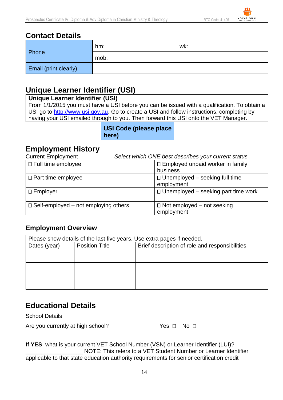## **Contact Details**

|                              | hm:  | wk: |
|------------------------------|------|-----|
| Phone                        | mob: |     |
| <b>Email (print clearly)</b> |      |     |

## **Unique Learner Identifier (USI)**

## **Unique Learner Identifier (USI)**

From 1/1/2015 you must have a USI before you can be issued with a qualification. To obtain a USI go to [http://www.usi.gov.au.](http://www.usi.gov.au/) Go to create a USI and follow instructions, completing by having your USI emailed through to you. Then forward this USI onto the VET Manager.

| USI Code (please place |  |
|------------------------|--|
| here)                  |  |

## **Employment History**

Current Employment *Select which ONE best describes your current status*

| $\Box$ Full time employee                   | $\Box$ Employed unpaid worker in family<br>business |
|---------------------------------------------|-----------------------------------------------------|
| $\Box$ Part time employee                   | $\Box$ Unemployed – seeking full time<br>employment |
| $\Box$ Employer                             | $\Box$ Unemployed – seeking part time work          |
| $\Box$ Self-employed – not employing others | $\Box$ Not employed – not seeking<br>employment     |

## **Employment Overview**

| Please show details of the last five years. Use extra pages if needed. |                       |                                                |  |
|------------------------------------------------------------------------|-----------------------|------------------------------------------------|--|
| Dates (year)                                                           | <b>Position Title</b> | Brief description of role and responsibilities |  |
|                                                                        |                       |                                                |  |
|                                                                        |                       |                                                |  |
|                                                                        |                       |                                                |  |
|                                                                        |                       |                                                |  |
|                                                                        |                       |                                                |  |
|                                                                        |                       |                                                |  |

## **Educational Details**

School Details

Are you currently at high school? Yes **D** No D

**If YES**, what is your current VET School Number (VSN) or Learner Identifier (LUI)? NOTE: This refers to a VET Student Number or Learner Identifier applicable to that state education authority requirements for senior certification credit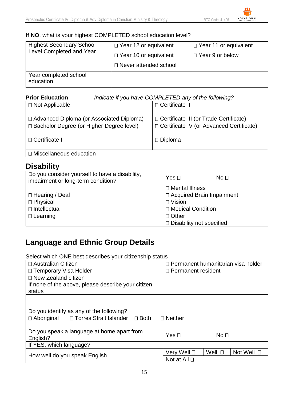## **If NO**, what is your highest COMPLETED school education level?

| <b>Highest Secondary School</b><br>Level Completed and Year | $\Box$ Year 12 or equivalent<br>$\Box$ Year 10 or equivalent<br>□ Never attended school | $\Box$ Year 11 or equivalent<br>$\Box$ Year 9 or below |
|-------------------------------------------------------------|-----------------------------------------------------------------------------------------|--------------------------------------------------------|
| Year completed school<br>education                          |                                                                                         |                                                        |

| <b>Prior Education</b>                     | Indicate if you have COMPLETED any of the following? |
|--------------------------------------------|------------------------------------------------------|
| $\Box$ Not Applicable                      | □ Certificate II                                     |
|                                            |                                                      |
| □ Advanced Diploma (or Associated Diploma) | $\Box$ Certificate III (or Trade Certificate)        |
| □ Bachelor Degree (or Higher Degree level) | □ Certificate IV (or Advanced Certificate)           |
| □ Certificate I                            | $\Box$ Diploma                                       |
| □ Miscellaneous education                  |                                                      |

## **Disability**

| Do you consider yourself to have a disability,<br>impairment or long-term condition? | Yes $\Box$                      | No <sub>1</sub> |
|--------------------------------------------------------------------------------------|---------------------------------|-----------------|
|                                                                                      | □ Mental Illness                |                 |
| $\Box$ Hearing / Deaf                                                                | □ Acquired Brain Impairment     |                 |
| □ Physical                                                                           | $\Box$ Vision                   |                 |
| $\Box$ Intellectual                                                                  | □ Medical Condition             |                 |
| $\Box$ Learning                                                                      | $\Box$ Other                    |                 |
|                                                                                      | $\Box$ Disability not specified |                 |

## **Language and Ethnic Group Details**

Select which ONE best describes your citizenship status

| $\Box$ Australian Citizen                                      | $\Box$ Permanent humanitarian visa holder |                           |
|----------------------------------------------------------------|-------------------------------------------|---------------------------|
| □ Temporary Visa Holder                                        | $\Box$ Permanent resident                 |                           |
| $\Box$ New Zealand citizen                                     |                                           |                           |
| If none of the above, please describe your citizen             |                                           |                           |
| status                                                         |                                           |                           |
|                                                                |                                           |                           |
|                                                                |                                           |                           |
| Do you identify as any of the following?                       |                                           |                           |
| □ Aboriginal □ Torres Strait Islander □ Both<br>$\Box$ Neither |                                           |                           |
|                                                                |                                           |                           |
| Do you speak a language at home apart from                     | Yes $\Box$                                | No <sub>1</sub>           |
| English?                                                       |                                           |                           |
| If YES, which language?                                        |                                           |                           |
| How well do you speak English                                  | Very Well <b>□</b>                        | Well $\Box$<br>Not Well □ |
|                                                                | Not at All □                              |                           |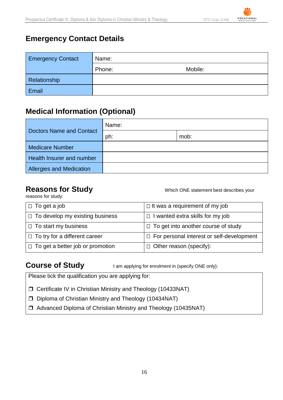## **Emergency Contact Details**

| <b>Emergency Contact</b> | Name:  |         |
|--------------------------|--------|---------|
|                          | Phone: | Mobile: |
| Relationship             |        |         |
| Email                    |        |         |

## **Medical Information (Optional)**

|                                 | Name: |      |
|---------------------------------|-------|------|
| <b>Doctors Name and Contact</b> | ph:   | mob: |
| <b>Medicare Number</b>          |       |      |
| Health Insurer and number       |       |      |
| <b>Allergies and Medication</b> |       |      |

reasons for study:

**Reasons for Study Constrained Which ONE statement best describes your** 

| $\Box$ To get a job                     | $\Box$ It was a requirement of my job       |
|-----------------------------------------|---------------------------------------------|
| $\Box$ To develop my existing business  | $\Box$ I wanted extra skills for my job     |
| $\Box$ To start my business             | $\Box$ To get into another course of study  |
| $\Box$ To try for a different career    | □ For personal interest or self-development |
| $\Box$ To get a better job or promotion | $\Box$ Other reason (specify):              |

**Course of Study** I am applying for enrolment in (specify ONE only):

Please tick the qualification you are applying for:

Certificate IV in Christian Ministry and Theology (10433NAT)

D Diploma of Christian Ministry and Theology (10434NAT)

Advanced Diploma of Christian Ministry and Theology (10435NAT)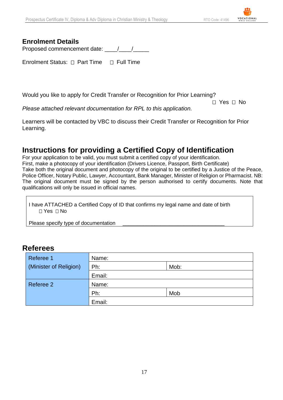## **Enrolment Details**

Proposed commencement date: \_\_\_\_/\_\_\_\_/\_\_\_\_\_

Enrolment Status:  $\Box$  Part Time  $\Box$  Full Time

Would you like to apply for Credit Transfer or Recognition for Prior Learning?

 Yes No

*Please attached relevant documentation for RPL to this application.*

Learners will be contacted by VBC to discuss their Credit Transfer or Recognition for Prior Learning.

## **Instructions for providing a Certified Copy of Identification**

For your application to be valid, you must submit a certified copy of your identification. First, make a photocopy of your identification (Drivers Licence, Passport, Birth Certificate) Take both the original document and photocopy of the original to be certified by a Justice of the Peace, Police Officer, Notary Public, Lawyer, Accountant, Bank Manager, Minister of Religion or Pharmacist. NB: The original document must be signed by the person authorised to certify documents. Note that qualifications will only be issued in official names.

I have ATTACHED a Certified Copy of ID that confirms my legal name and date of birth  $\Box$  Yes  $\Box$  No

Please specify type of documentation

## **Referees**

| Referee 1              | Name:  |      |  |
|------------------------|--------|------|--|
| (Minister of Religion) | Ph:    | Mob: |  |
|                        | Email: |      |  |
| Referee 2              | Name:  |      |  |
|                        | Ph:    | Mob  |  |
|                        | Email: |      |  |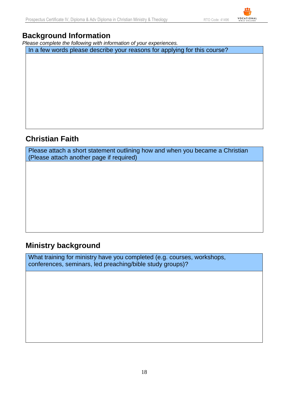## **Background Information**

*Please complete the following with information of your experiences.*

In a few words please describe your reasons for applying for this course?

## **Christian Faith**

Please attach a short statement outlining how and when you became a Christian (Please attach another page if required)

## **Ministry background**

What training for ministry have you completed (e.g. courses, workshops, conferences, seminars, led preaching/bible study groups)?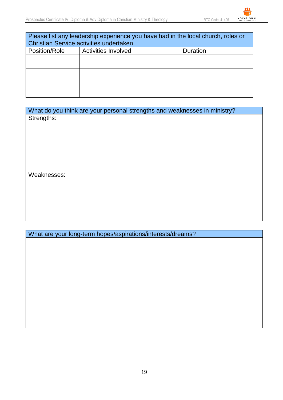| Please list any leadership experience you have had in the local church, roles or<br>Christian Service activities undertaken |                     |          |
|-----------------------------------------------------------------------------------------------------------------------------|---------------------|----------|
| Position/Role                                                                                                               | Activities Involved | Duration |
|                                                                                                                             |                     |          |
|                                                                                                                             |                     |          |
|                                                                                                                             |                     |          |

What do you think are your personal strengths and weaknesses in ministry? Strengths:

Weaknesses:

What are your long-term hopes/aspirations/interests/dreams?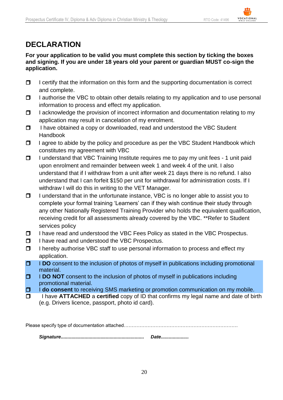## **DECLARATION**

#### **For your application to be valid you must complete this section by ticking the boxes and signing. If you are under 18 years old your parent or guardian MUST co-sign the application.**

- $\Box$  I certify that the information on this form and the supporting documentation is correct and complete.
- $\Box$  I authorise the VBC to obtain other details relating to my application and to use personal information to process and effect my application.
- $\Box$  I acknowledge the provision of incorrect information and documentation relating to my application may result in cancelation of my enrolment.
- □ I have obtained a copy or downloaded, read and understood the VBC Student Handbook
- □ 1 agree to abide by the policy and procedure as per the VBC Student Handbook which constitutes my agreement with VBC
- $\Box$  I understand that VBC Training Institute requires me to pay my unit fees 1 unit paid upon enrolment and remainder between week 1 and week 4 of the unit. I also understand that if I withdraw from a unit after week 21 days there is no refund. I also understand that I can forfeit \$150 per unit for withdrawal for administration costs. If I withdraw I will do this in writing to the VET Manager.
- $\Box$  I understand that in the unfortunate instance, VBC is no longer able to assist you to complete your formal training 'Learners' can if they wish continue their study through any other Nationally Registered Training Provider who holds the equivalent qualification, receiving credit for all assessments already covered by the VBC. \*\*Refer to Student services policy
- $\Box$  I have read and understood the VBC Fees Policy as stated in the VBC Prospectus.
- □ I have read and understood the VBC Prospectus.
- $\Box$  I hereby authorise VBC staff to use personal information to process and effect my application.
- **IDO** consent to the inclusion of photos of myself in publications including promotional material.
- **I DO NOT** consent to the inclusion of photos of myself in publications including promotional material.
- **I do consent** to receiving SMS marketing or promotion communication on my mobile.
- I have **ATTACHED** a **certified** copy of ID that confirms my legal name and date of birth (e.g. Drivers licence, passport, photo id card).

Please specify type of documentation attached…………………………………………………………………………………………… *Signature............................................................... Date.....................*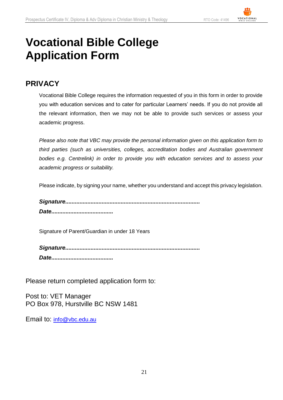## **Vocational Bible College Application Form**

## **PRIVACY**

Vocational Bible College requires the information requested of you in this form in order to provide you with education services and to cater for particular Learners' needs. If you do not provide all the relevant information, then we may not be able to provide such services or assess your academic progress.

*Please also note that VBC may provide the personal information given on this application form to third parties (such as universities, colleges, accreditation bodies and Australian government bodies e.g. Centrelink) in order to provide you with education services and to assess your academic progress or suitability.*

Please indicate, by signing your name, whether you understand and accept this privacy legislation.

*Signature.....................................................................................* 

*Date.......................................*

Signature of Parent/Guardian in under 18 Years

*Signature..................................................................................... Date.......................................*

Please return completed application form to:

Post to: VET Manager PO Box 978, Hurstville BC NSW 1481

Email to: [info@vbc.edu.au](mailto:info@vbc.edu.au)